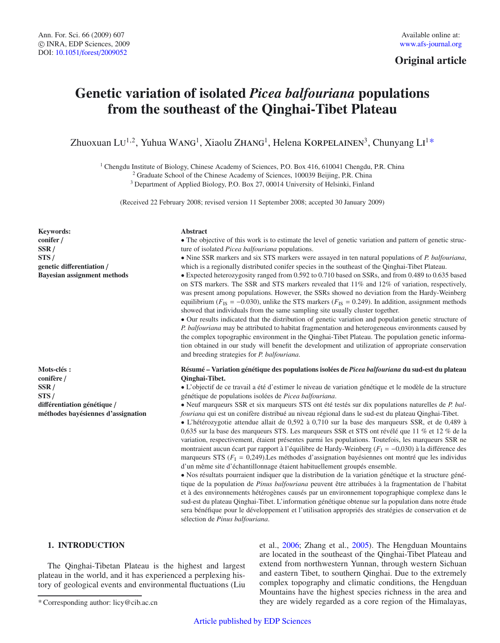## **Original article**

# **Genetic variation of isolated** *Picea balfouriana* **populations from the southeast of the Qinghai-Tibet Plateau**

Zhuoxuan LU<sup>1,2</sup>, Yuhua WANG<sup>1</sup>, Xiaolu ZHANG<sup>1</sup>, Helena KORPELAINEN<sup>3</sup>, Chunyang LI<sup>1</sup>\*

<sup>1</sup> Chengdu Institute of Biology, Chinese Academy of Sciences, P.O. Box 416, 610041 Chengdu, P.R. China

<sup>2</sup> Graduate School of the Chinese Academy of Sciences, 100039 Beijing, P.R. China

<sup>3</sup> Department of Applied Biology, P.O. Box 27, 00014 University of Helsinki, Finland

(Received 22 February 2008; revised version 11 September 2008; accepted 30 January 2009)

**Keywords: conifer** / **SSR** / **STS** / **genetic di**ff**erentiation** / **Bayesian assignment methods**

**Mots-clés : conifère** / **SSR** / **STS** / **di**ff**érentiation génétique** / **méthodes bayésiennes d'assignation**

#### **Abstract**

• The objective of this work is to estimate the level of genetic variation and pattern of genetic structure of isolated *Picea balfouriana* populations.

• Nine SSR markers and six STS markers were assayed in ten natural populations of *P. balfouriana*, which is a regionally distributed conifer species in the southeast of the Qinghai-Tibet Plateau.

• Expected heterozygosity ranged from 0.592 to 0.710 based on SSRs, and from 0.489 to 0.635 based on STS markers. The SSR and STS markers revealed that 11% and 12% of variation, respectively, was present among populations. However, the SSRs showed no deviation from the Hardy-Weinberg equilibrium ( $F_{IS} = -0.030$ ), unlike the STS markers ( $F_{IS} = 0.249$ ). In addition, assignment methods showed that individuals from the same sampling site usually cluster together.

• Our results indicated that the distribution of genetic variation and population genetic structure of *P. balfouriana* may be attributed to habitat fragmentation and heterogeneous environments caused by the complex topographic environment in the Qinghai-Tibet Plateau. The population genetic information obtained in our study will benefit the development and utilization of appropriate conservation and breeding strategies for *P. balfouriana*.

### **Résumé – Variation génétique des populations isolées de** *Picea balfouriana* **du sud-est du plateau Qinghai-Tibet.**

• L'objectif de ce travail a été d'estimer le niveau de variation génétique et le modèle de la structure génétique de populations isolées de *Picea balfouriana*.

• Neuf marqueurs SSR et six marqueurs STS ont été testés sur dix populations naturelles de *P. balfouriana* qui est un conifère distribué au niveau régional dans le sud-est du plateau Qinghai-Tibet.

• L'hétérozygotie attendue allait de 0,592 à 0,710 sur la base des marqueurs SSR, et de 0,489 à 0,635 sur la base des marqueurs STS. Les marqueurs SSR et STS ont révélé que 11 % et 12 % de la variation, respectivement, étaient présentes parmi les populations. Toutefois, les marqueurs SSR ne montraient aucun écart par rapport à l'équilibre de Hardy-Weinberg (*F*<sup>I</sup> = −0,030) à la différence des marqueurs STS ( $F<sub>I</sub> = 0,249$ ).Les méthodes d'assignation bayésiennes ont montré que les individus d'un même site d'échantillonnage étaient habituellement groupés ensemble.

• Nos résultats pourraient indiquer que la distribution de la variation génétique et la structure génétique de la population de *Pinus balfouriana* peuvent être attribuées à la fragmentation de l'habitat et à des environnements hétérogènes causés par un environnement topographique complexe dans le sud-est du plateau Qinghai-Tibet. L'information génétique obtenue sur la population dans notre étude sera bénéfique pour le développement et l'utilisation appropriés des stratégies de conservation et de sélection de *Pinus balfouriana*.

## **1. INTRODUCTION**

The Qinghai-Tibetan Plateau is the highest and largest plateau in the world, and it has experienced a perplexing history of geological events and environmental fluctuations (Liu et al., [2006](#page-8-0); Zhang et al., [2005](#page-9-0)). The Hengduan Mountains are located in the southeast of the Qinghai-Tibet Plateau and extend from northwestern Yunnan, through western Sichuan and eastern Tibet, to southern Qinghai. Due to the extremely complex topography and climatic conditions, the Hengduan Mountains have the highest species richness in the area and they are widely regarded as a core region of the Himalayas,

<sup>\*</sup> Corresponding author: licy@cib.ac.cn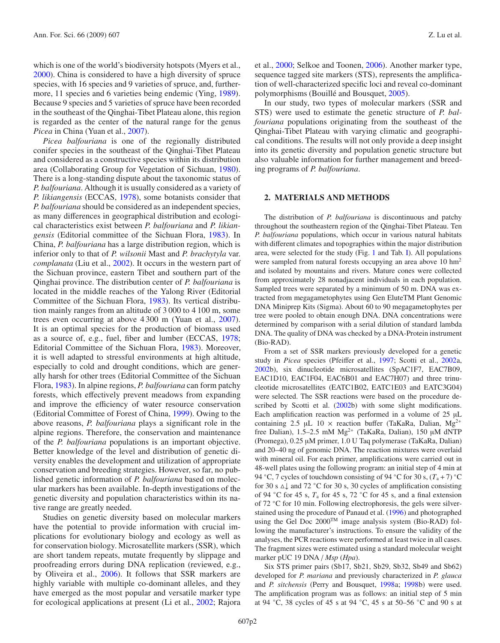which is one of the world's biodiversity hotspots (Myers et al., [2000\)](#page-8-1). China is considered to have a high diversity of spruce species, with 16 species and 9 varieties of spruce, and, furthermore, 11 species and 6 varieties being endemic (Ying, [1989\)](#page-9-1). Because 9 species and 5 varieties of spruce have been recorded in the southeast of the Qinghai-Tibet Plateau alone, this region is regarded as the center of the natural range for the genus *Picea* in China (Yuan et al., [2007](#page-9-2)).

*Picea balfouriana* is one of the regionally distributed conifer species in the southeast of the Qinghai-Tibet Plateau and considered as a constructive species within its distribution area (Collaborating Group for Vegetation of Sichuan, [1980\)](#page-8-2). There is a long-standing dispute about the taxonomic status of *P. balfouriana*. Although it is usually considered as a variety of *P. likiangensis* (ECCAS, [1978](#page-8-3)), some botanists consider that *P. balfouriana* should be considered as an independent species, as many differences in geographical distribution and ecological characteristics exist between *P. balfouriana* and *P. likiangensis* (Editorial committee of the Sichuan Flora, [1983](#page-8-4)). In China, *P. balfouriana* has a large distribution region, which is inferior only to that of *P. wilsonii* Mast and *P. brachytyla* var. *complanata* (Liu et al., [2002\)](#page-8-5). It occurs in the western part of the Sichuan province, eastern Tibet and southern part of the Qinghai province. The distribution center of *P. balfouriana* is located in the middle reaches of the Yalong River (Editorial Committee of the Sichuan Flora, [1983](#page-8-4)). Its vertical distribution mainly ranges from an altitude of 3 000 to 4 100 m, some trees even occurring at above 4 300 m (Yuan et al., [2007\)](#page-9-2). It is an optimal species for the production of biomass used as a source of, e.g., fuel, fiber and lumber (ECCAS, [1978;](#page-8-3) Editorial Committee of the Sichuan Flora, [1983\)](#page-8-4). Moreover, it is well adapted to stressful environments at high altitude, especially to cold and drought conditions, which are generally harsh for other trees (Editorial Committee of the Sichuan Flora, [1983\)](#page-8-4). In alpine regions, *P. balfouriana* can form patchy forests, which effectively prevent meadows from expanding and improve the efficiency of water resource conservation (Editorial Committee of Forest of China, [1999\)](#page-8-6). Owing to the above reasons, *P. balfouriana* plays a significant role in the alpine regions. Therefore, the conservation and maintenance of the *P. balfouriana* populations is an important objective. Better knowledge of the level and distribution of genetic diversity enables the development and utilization of appropriate conservation and breeding strategies. However, so far, no published genetic information of *P. balfouriana* based on molecular markers has been available. In-depth investigations of the genetic diversity and population characteristics within its native range are greatly needed.

Studies on genetic diversity based on molecular markers have the potential to provide information with crucial implications for evolutionary biology and ecology as well as for conservation biology. Microsatellite markers (SSR), which are short tandem repeats, mutate frequently by slippage and proofreading errors during DNA replication (reviewed, e.g., by Oliveira et al., [2006\)](#page-8-7). It follows that SSR markers are highly variable with multiple co-dominant alleles, and they have emerged as the most popular and versatile marker type for ecological applications at present (Li et al., [2002;](#page-8-8) Rajora

et al., [2000](#page-8-9); Selkoe and Toonen, [2006\)](#page-9-3). Another marker type, sequence tagged site markers (STS), represents the amplification of well-characterized specific loci and reveal co-dominant polymorphisms (Bouillé and Bousquet, [2005\)](#page-8-10).

In our study, two types of molecular markers (SSR and STS) were used to estimate the genetic structure of *P. balfouriana* populations originating from the southeast of the Qinghai-Tibet Plateau with varying climatic and geographical conditions. The results will not only provide a deep insight into its genetic diversity and population genetic structure but also valuable information for further management and breeding programs of *P. balfouriana*.

## **2. MATERIALS AND METHODS**

The distribution of *P. balfouriana* is discontinuous and patchy throughout the southeastern region of the Qinghai-Tibet Plateau. Ten *P. balfouriana* populations, which occur in various natural habitats with different climates and topographies within the major distribution area, were selected for the study (Fig. [1](#page-2-0) and Tab. [I\)](#page-2-1). All populations were sampled from natural forests occupying an area above 10 hm<sup>2</sup> and isolated by mountains and rivers. Mature cones were collected from approximately 28 nonadjacent individuals in each population. Sampled trees were separated by a minimum of 50 m. DNA was extracted from megagametophytes using Gen EluteTM Plant Genomic DNA Miniprep Kits (Sigma). About 60 to 90 megagametophytes per tree were pooled to obtain enough DNA. DNA concentrations were determined by comparison with a serial dilution of standard lambda DNA. The quality of DNA was checked by a DNA-Protein instrument (Bio-RAD).

From a set of SSR markers previously developed for a genetic study in *Picea* species (Pfeiffer et al., [1997](#page-8-11); Scotti et al., [2002a](#page-9-4), [2002](#page-9-5)b), six dinucleotide microsatellites (SpAC1F7, EAC7B09, EAC1D10, EAC1F04, EAC6B01 and EAC7H07) and three trinucleotide microsatellites (EATC1B02, EATC1E03 and EATC3G04) were selected. The SSR reactions were based on the procedure de-scribed by Scotti et al. [\(2002](#page-9-5)b) with some slight modifications. Each amplification reaction was performed in a volume of  $25 \mu L$ containing 2.5 µL 10  $\times$  reaction buffer (TaKaRa, Dalian, Mg<sup>2+</sup> free Dalian), 1.5–2.5 mM  $Mg^{2+}$  (TaKaRa, Dalian), 150 µM dNTP (Promega), 0.25 µM primer, 1.0 U Taq polymerase (TaKaRa, Dalian) and 20–40 ng of genomic DNA. The reaction mixtures were overlaid with mineral oil. For each primer, amplifications were carried out in 48-well plates using the following program: an initial step of 4 min at 94 °C, 7 cycles of touchdown consisting of 94 °C for 30 s,  $(T_a + 7)$  °C for 30 s  $\triangle$  and 72 °C for 30 s, 30 cycles of amplification consisting of 94  $\degree$ C for 45 s,  $T_a$  for 45 s, 72  $\degree$ C for 45 s, and a final extension of 72 ◦C for 10 min. Following electrophoresis, the gels were silverstained using the procedure of Panaud et al. [\(1996\)](#page-8-12) and photographed using the Gel Doc 2000TM image analysis system (Bio-RAD) following the manufacturer's instructions. To ensure the validity of the analyses, the PCR reactions were performed at least twice in all cases. The fragment sizes were estimated using a standard molecular weight marker pUC 19 DNA / *Msp* (*Hpa*).

Six STS primer pairs (Sb17, Sb21, Sb29, Sb32, Sb49 and Sb62) developed for *P. mariana* and previously characterized in *P. glauca* and *P. sitchensis* (Perry and Bousquet, [1998](#page-8-13)a; [1998](#page-8-14)b) were used. The amplification program was as follows: an initial step of 5 min at 94 ◦C, 38 cycles of 45 s at 94 ◦C, 45 s at 50–56 ◦C and 90 s at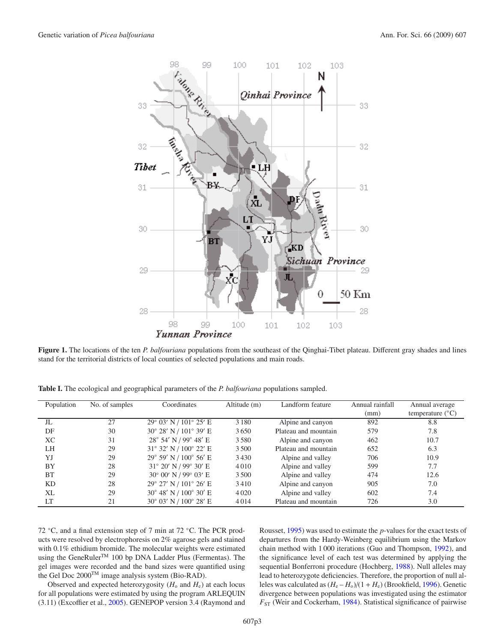

<span id="page-2-1"></span><span id="page-2-0"></span>**Figure 1.** The locations of the ten *P. balfouriana* populations from the southeast of the Qinghai-Tibet plateau. Different gray shades and lines stand for the territorial districts of local counties of selected populations and main roads.

**Table I.** The ecological and geographical parameters of the *P. balfouriana* populations sampled.

| Population | No. of samples | Coordinates                              | Altitude (m) | Landform feature     | Annual rainfall | Annual average            |
|------------|----------------|------------------------------------------|--------------|----------------------|-----------------|---------------------------|
|            |                |                                          |              |                      | (mm)            | temperature $(^{\circ}C)$ |
| JL         | 27             | 29° 03' N / 101° 25' E                   | 3 1 8 0      | Alpine and canyon    | 892             | 8.8                       |
| DF         | 30             | 30° 28' N / 101° 39' E                   | 3650         | Plateau and mountain | 579             | 7.8                       |
| XC         | 31             | $28^{\circ}$ 54' N / 99 $^{\circ}$ 48' E | 3580         | Alpine and canyon    | 462             | 10.7                      |
| LH         | 29             | $31^{\circ}$ 32' N / $100^{\circ}$ 22' E | 3500         | Plateau and mountain | 652             | 6.3                       |
| YJ         | 29             | $29^{\circ}$ 59' N / $100^{\circ}$ 56' E | 3430         | Alpine and valley    | 706             | 10.9                      |
| BY         | 28             | $31^{\circ}$ 20' N / 99 $^{\circ}$ 30' E | 4010         | Alpine and valley    | 599             | 7.7                       |
| <b>BT</b>  | 29             | $30^{\circ}$ 00' N / 99 $^{\circ}$ 03' E | 3500         | Alpine and valley    | 474             | 12.6                      |
| KD         | 28             | 29° 27' N / 101° 26' E                   | 3410         | Alpine and canyon    | 905             | 7.0                       |
| XL         | 29             | $30^{\circ}$ 48' N / $100^{\circ}$ 30' E | 4020         | Alpine and valley    | 602             | 7.4                       |
| LT         | 21             | $30^{\circ}$ 03' N / $100^{\circ}$ 28' E | 4014         | Plateau and mountain | 726             | 3.0                       |

72 ◦C, and a final extension step of 7 min at 72 ◦C. The PCR products were resolved by electrophoresis on 2% agarose gels and stained with 0.1% ethidium bromide. The molecular weights were estimated using the GeneRuler<sup>TM</sup> 100 bp DNA Ladder Plus (Fermentas). The gel images were recorded and the band sizes were quantified using the Gel Doc 2000TM image analysis system (Bio-RAD).

Observed and expected heterozygosity  $(H_0$  and  $H_e)$  at each locus for all populations were estimated by using the program ARLEQUIN (3.11) (Excoffier et al., [2005](#page-8-15)). GENEPOP version 3.4 (Raymond and

Rousset, [1995](#page-8-16)) was used to estimate the *p*-values for the exact tests of departures from the Hardy-Weinberg equilibrium using the Markov chain method with 1 000 iterations (Guo and Thompson, [1992\)](#page-8-17), and the significance level of each test was determined by applying the sequential Bonferroni procedure (Hochberg, [1988\)](#page-8-18). Null alleles may lead to heterozygote deficiencies. Therefore, the proportion of null alleles was calculated as  $(H_e - H_o)/(1 + H_e)$  (Brookfield, [1996\)](#page-8-19). Genetic divergence between populations was investigated using the estimator  $F_{ST}$  (Weir and Cockerham, [1984](#page-9-6)). Statistical significance of pairwise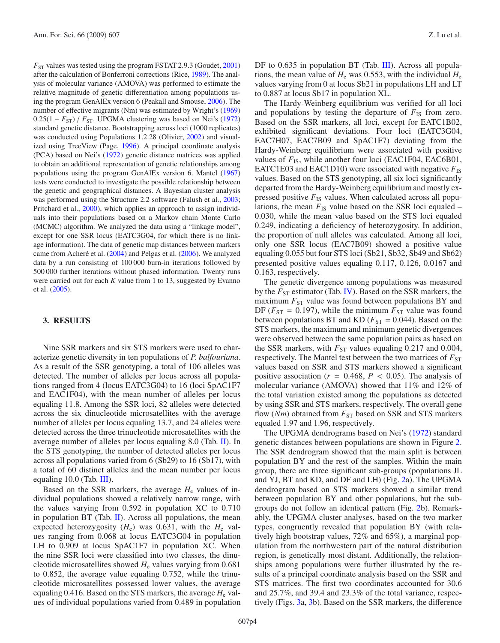$F_{ST}$  values was tested using the program FSTAT 2.9.3 (Goudet,  $2001$ ) after the calculation of Bonferroni corrections (Rice, [1989](#page-8-21)). The analysis of molecular variance (AMOVA) was performed to estimate the relative magnitude of genetic differentiation among populations using the program GenAlEx version 6 (Peakall and Smouse, [2006](#page-8-22)). The number of effective migrants (Nm) was estimated by Wright's [\(1969](#page-9-7))  $0.25(1 - F_{ST})$  /  $F_{ST}$ . UPGMA clustering was based on Nei's [\(1972](#page-8-23)) standard genetic distance. Bootstrapping across loci (1000 replicates) was conducted using Populations 1.2.28 (Olivier, [2002](#page-8-24)) and visualized using TreeView (Page, [1996\)](#page-8-25). A principal coordinate analysis (PCA) based on Nei's [\(1972](#page-8-23)) genetic distance matrices was applied to obtain an additional representation of genetic relationships among populations using the program GenAlEx version 6. Mantel [\(1967](#page-8-26)) tests were conducted to investigate the possible relationship between the genetic and geographical distances. A Bayesian cluster analysis was performed using the Structure 2.2 software (Falush et al., [2003;](#page-8-27) Pritchard et al., [2000](#page-8-28)), which applies an approach to assign individuals into their populations based on a Markov chain Monte Carlo (MCMC) algorithm. We analyzed the data using a "linkage model", except for one SSR locus (EATC3G04, for which there is no linkage information). The data of genetic map distances between markers came from Acheré et al. [\(2004](#page-7-0)) and Pelgas et al. [\(2006](#page-8-29)). We analyzed data by a run consisting of 100 000 burn-in iterations followed by 500 000 further iterations without phased information. Twenty runs were carried out for each *K* value from 1 to 13, suggested by Evanno et al. [\(2005](#page-8-30)).

### **3. RESULTS**

Nine SSR markers and six STS markers were used to characterize genetic diversity in ten populations of *P. balfouriana*. As a result of the SSR genotyping, a total of 106 alleles was detected. The number of alleles per locus across all populations ranged from 4 (locus EATC3G04) to 16 (loci SpAC1F7 and EAC1F04), with the mean number of alleles per locus equaling 11.8. Among the SSR loci, 82 alleles were detected across the six dinucleotide microsatellites with the average number of alleles per locus equaling 13.7, and 24 alleles were detected across the three trinucleotide microsatellites with the average number of alleles per locus equaling 8.0 (Tab. [II\)](#page-4-0). In the STS genotyping, the number of detected alleles per locus across all populations varied from 6 (Sb29) to 16 (Sb17), with a total of 60 distinct alleles and the mean number per locus equaling 10.0 (Tab. [III\)](#page-5-0).

Based on the SSR markers, the average  $H<sub>e</sub>$  values of individual populations showed a relatively narrow range, with the values varying from 0.592 in population XC to 0.710 in population BT (Tab.  $II$ ). Across all populations, the mean expected heterozygosity  $(H_e)$  was 0.631, with the  $H_e$  values ranging from 0.068 at locus EATC3G04 in population LH to 0.909 at locus SpAC1F7 in population XC. When the nine SSR loci were classified into two classes, the dinucleotide microsatellites showed *H*<sup>e</sup> values varying from 0.681 to 0.852, the average value equaling 0.752, while the trinucleotide microsatellites possessed lower values, the average equaling 0.416. Based on the STS markers, the average  $H<sub>e</sub>$  values of individual populations varied from 0.489 in population DF to 0.635 in population BT (Tab. [III\)](#page-5-0). Across all populations, the mean value of  $H_e$  was 0.553, with the individual  $H_e$ values varying from 0 at locus Sb21 in populations LH and LT to 0.887 at locus Sb17 in population XL.

The Hardy-Weinberg equilibrium was verified for all loci and populations by testing the departure of  $F_{\text{IS}}$  from zero. Based on the SSR markers, all loci, except for EATC1B02, exhibited significant deviations. Four loci (EATC3G04, EAC7H07, EAC7B09 and SpAC1F7) deviating from the Hardy-Weinberg equilibrium were associated with positive values of  $F_{\text{IS}}$ , while another four loci (EAC1F04, EAC6B01, EATC1E03 and EAC1D10) were associated with negative  $F_{\text{IS}}$ values. Based on the STS genotyping, all six loci significantly departed from the Hardy-Weinberg equilibrium and mostly expressed positive  $F_{\text{IS}}$  values. When calculated across all populations, the mean  $F_{\text{IS}}$  value based on the SSR loci equaled – 0.030, while the mean value based on the STS loci equaled 0.249, indicating a deficiency of heterozygosity. In addition, the proportion of null alleles was calculated. Among all loci, only one SSR locus (EAC7B09) showed a positive value equaling 0.055 but four STS loci (Sb21, Sb32, Sb49 and Sb62) presented positive values equaling 0.117, 0.126, 0.0167 and 0.163, respectively.

The genetic divergence among populations was measured by the *F*<sub>ST</sub> estimator (Tab. [IV\)](#page-5-1). Based on the SSR markers, the maximum  $F_{ST}$  value was found between populations BY and DF ( $F_{ST}$  = 0.197), while the minimum  $F_{ST}$  value was found between populations BT and KD ( $F_{ST} = 0.044$ ). Based on the STS markers, the maximum and minimum genetic divergences were observed between the same population pairs as based on the SSR markers, with  $F_{ST}$  values equaling 0.217 and 0.004, respectively. The Mantel test between the two matrices of  $F_{ST}$ values based on SSR and STS markers showed a significant positive association ( $r = 0.468$ ,  $P < 0.05$ ). The analysis of molecular variance (AMOVA) showed that 11% and 12% of the total variation existed among the populations as detected by using SSR and STS markers, respectively. The overall gene flow  $(Nm)$  obtained from  $F_{ST}$  based on SSR and STS markers equaled 1.97 and 1.96, respectively.

The UPGMA dendrograms based on Nei's [\(1972\)](#page-8-23) standard genetic distances between populations are shown in Figure [2.](#page-6-0) The SSR dendrogram showed that the main split is between population BY and the rest of the samples. Within the main group, there are three significant sub-groups (populations JL and YJ, BT and KD, and DF and LH) (Fig. [2a](#page-6-0)). The UPGMA dendrogram based on STS markers showed a similar trend between population BY and other populations, but the subgroups do not follow an identical pattern (Fig. [2b](#page-6-0)). Remarkably, the UPGMA cluster analyses, based on the two marker types, congruently revealed that population BY (with relatively high bootstrap values, 72% and 65%), a marginal population from the northwestern part of the natural distribution region, is genetically most distant. Additionally, the relationships among populations were further illustrated by the results of a principal coordinate analysis based on the SSR and STS matrices. The first two coordinates accounted for 30.6 and 25.7%, and 39.4 and 23.3% of the total variance, respectively (Figs. [3a](#page-7-1), [3b](#page-7-1)). Based on the SSR markers, the difference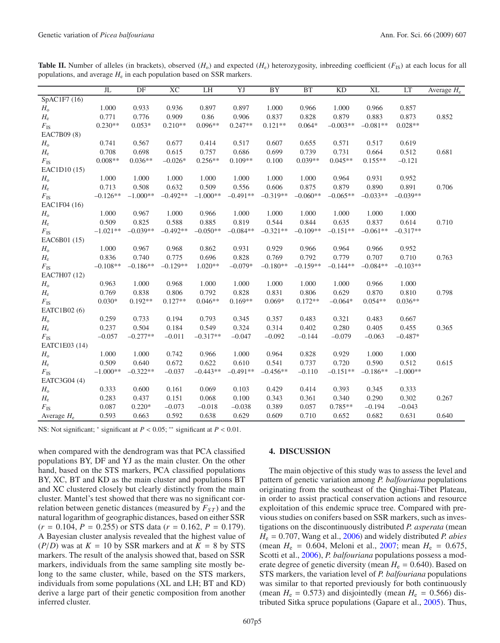<span id="page-4-0"></span>**Table II.** Number of alleles (in brackets), observed  $(H_0)$  and expected  $(H_e)$  heterozygosity, inbreeding coefficient  $(F_{IS})$  at each locus for all populations, and average  $H<sub>e</sub>$  in each population based on SSR markers.

|                               | J <sub>L</sub> | DF         | XC         | LH         | YJ         | <b>BY</b>  | <b>BT</b>  | <b>KD</b>  | XL         | LT         | Average $H_e$ |
|-------------------------------|----------------|------------|------------|------------|------------|------------|------------|------------|------------|------------|---------------|
| SpAC1F7 (16)                  |                |            |            |            |            |            |            |            |            |            |               |
| $H_{o}$                       | 1.000          | 0.933      | 0.936      | 0.897      | 0.897      | 1.000      | 0.966      | 1.000      | 0.966      | 0.857      |               |
| $H_{\rm e}$                   | 0.771          | 0.776      | 0.909      | 0.86       | 0.906      | 0.837      | 0.828      | 0.879      | 0.883      | 0.873      | 0.852         |
| $F_{\rm IS}$                  | $0.230**$      | $0.053*$   | $0.210**$  | $0.096**$  | $0.247**$  | $0.121**$  | $0.064*$   | $-0.003**$ | $-0.081**$ | $0.028**$  |               |
| EAC7B09 (8)                   |                |            |            |            |            |            |            |            |            |            |               |
| $H_{o}$                       | 0.741          | 0.567      | 0.677      | 0.414      | 0.517      | 0.607      | 0.655      | 0.571      | 0.517      | 0.619      |               |
| $H_{\rm e}$                   | 0.708          | 0.698      | 0.615      | 0.757      | 0.686      | 0.699      | 0.739      | 0.731      | 0.664      | 0.512      | 0.681         |
| $F_{\rm IS}$                  | $0.008**$      | $0.036**$  | $-0.026*$  | $0.256**$  | $0.109**$  | 0.100      | $0.039**$  | $0.045**$  | $0.155**$  | $-0.121$   |               |
| EAC1D10 (15)                  |                |            |            |            |            |            |            |            |            |            |               |
| $H_{o}$                       | 1.000          | 1.000      | 1.000      | 1.000      | 1.000      | 1.000      | 1.000      | 0.964      | 0.931      | 0.952      |               |
| $H_{\rm e}$                   | 0.713          | 0.508      | 0.632      | 0.509      | 0.556      | 0.606      | 0.875      | 0.879      | 0.890      | 0.891      | 0.706         |
| $F_{\rm IS}$                  | $-0.126**$     | $-1.000**$ | $-0.492**$ | $-1.000**$ | $-0.491**$ | $-0.319**$ | $-0.060**$ | $-0.065**$ | $-0.033**$ | $-0.039**$ |               |
| EAC1F04 (16)                  |                |            |            |            |            |            |            |            |            |            |               |
| $H_0$                         | 1.000          | 0.967      | 1.000      | 0.966      | 1.000      | 1.000      | 1.000      | 1.000      | 1.000      | 1.000      |               |
| $H_{\rm e}$                   | 0.509          | 0.825      | 0.588      | 0.885      | 0.819      | 0.544      | 0.844      | 0.635      | 0.837      | 0.614      | 0.710         |
| $F_{\rm IS}$                  | $-1.021**$     | $-0.039**$ | $-0.492**$ | $-0.050**$ | $-0.084**$ | $-0.321**$ | $-0.109**$ | $-0.151**$ | $-0.061**$ | $-0.317**$ |               |
| EAC6B01 (15)                  |                |            |            |            |            |            |            |            |            |            |               |
| $H_{o}$                       | 1.000          | 0.967      | 0.968      | 0.862      | 0.931      | 0.929      | 0.966      | 0.964      | 0.966      | 0.952      |               |
| $H_{\rm e}$                   | 0.836          | 0.740      | 0.775      | 0.696      | 0.828      | 0.769      | 0.792      | 0.779      | 0.707      | 0.710      | 0.763         |
| $F_{\rm IS}$                  | $-0.108**$     | $-0.186**$ | $-0.129**$ | $1.020**$  | $-0.079*$  | $-0.180**$ | $-0.159**$ | $-0.144**$ | $-0.084**$ | $-0.103**$ |               |
| EAC7H07 (12)                  |                |            |            |            |            |            |            |            |            |            |               |
| $H_{o}$                       | 0.963          | 1.000      | 0.968      | 1.000      | 1.000      | 1.000      | 1.000      | 1.000      | 0.966      | 1.000      |               |
| $H_{\rm e}$                   | 0.769          | 0.838      | 0.806      | 0.792      | 0.828      | 0.831      | 0.806      | 0.629      | 0.870      | 0.810      | 0.798         |
| $F_{\rm IS}$                  | $0.030*$       | $0.192**$  | $0.127**$  | $0.046**$  | $0.169**$  | $0.069*$   | $0.172**$  | $-0.064*$  | $0.054**$  | $0.036**$  |               |
| EATC1B02 (6)                  |                |            |            |            |            |            |            |            |            |            |               |
| $H_{o}$                       | 0.259          | 0.733      | 0.194      | 0.793      | 0.345      | 0.357      | 0.483      | 0.321      | 0.483      | 0.667      |               |
| $H_{\rm e}$                   | 0.237          | 0.504      | 0.184      | 0.549      | 0.324      | 0.314      | 0.402      | 0.280      | 0.405      | 0.455      | 0.365         |
|                               | $-0.057$       | $-0.277**$ | $-0.011$   | $-0.317**$ | $-0.047$   | $-0.092$   | $-0.144$   | $-0.079$   | $-0.063$   | $-0.487*$  |               |
| $F_{\rm IS}$<br>EATC1E03 (14) |                |            |            |            |            |            |            |            |            |            |               |
|                               | 1.000          | 1.000      | 0.742      | 0.966      | 1.000      | 0.964      | 0.828      | 0.929      | 1.000      | 1.000      |               |
| $H_{o}$                       | 0.509          | 0.640      | 0.672      | 0.622      | 0.610      | 0.541      | 0.737      | 0.720      | 0.590      | 0.512      | 0.615         |
| $H_{\rm e}$                   | $-1.000**$     | $-0.322**$ | $-0.037$   | $-0.443**$ | $-0.491**$ | $-0.456**$ |            | $-0.151**$ | $-0.186**$ | $-1.000**$ |               |
| $F_{\rm IS}$                  |                |            |            |            |            |            | $-0.110$   |            |            |            |               |
| EATC3G04 (4)                  |                |            |            |            |            |            |            |            |            |            |               |
| $H_{o}$                       | 0.333          | 0.600      | 0.161      | 0.069      | 0.103      | 0.429      | 0.414      | 0.393      | 0.345      | 0.333      |               |
| $H_{\rm e}$                   | 0.283          | 0.437      | 0.151      | 0.068      | 0.100      | 0.343      | 0.361      | 0.340      | 0.290      | 0.302      | 0.267         |
| $F_{\rm IS}$                  | 0.087          | $0.220*$   | $-0.073$   | $-0.018$   | $-0.038$   | 0.389      | 0.057      | $0.785**$  | $-0.194$   | $-0.043$   |               |
| Average $H_e$                 | 0.593          | 0.663      | 0.592      | 0.638      | 0.629      | 0.609      | 0.710      | 0.652      | 0.682      | 0.631      | 0.640         |

NS: Not significant; <sup>∗</sup> significant at *P* < 0.05; ∗∗ significant at *P* < 0.01.

when compared with the dendrogram was that PCA classified populations BY, DF and YJ as the main cluster. On the other hand, based on the STS markers, PCA classified populations BY, XC, BT and KD as the main cluster and populations BT and XC clustered closely but clearly distinctly from the main cluster. Mantel's test showed that there was no significant correlation between genetic distances (measured by  $F_{ST}$ ) and the natural logarithm of geographic distances, based on either SSR  $(r = 0.104, P = 0.255)$  or STS data  $(r = 0.162, P = 0.179)$ . A Bayesian cluster analysis revealed that the highest value of  $(P/D)$  was at  $K = 10$  by SSR markers and at  $K = 8$  by STS markers. The result of the analysis showed that, based on SSR markers, individuals from the same sampling site mostly belong to the same cluster, while, based on the STS markers, individuals from some populations (XL and LH; BT and KD) derive a large part of their genetic composition from another inferred cluster.

## **4. DISCUSSION**

The main objective of this study was to assess the level and pattern of genetic variation among *P. balfouriana* populations originating from the southeast of the Qinghai-Tibet Plateau, in order to assist practical conservation actions and resource exploitation of this endemic spruce tree. Compared with previous studies on conifers based on SSR markers, such as investigations on the discontinuously distributed *P. asperata* (mean *H*<sup>e</sup> = 0.707, Wang et al., [2006\)](#page-9-8) and widely distributed *P. abies* (mean  $H_e = 0.604$ , Meloni et al., [2007](#page-8-31); mean  $H_e = 0.675$ , Scotti et al., [2006](#page-9-9)), *P. balfouriana* populations possess a moderate degree of genetic diversity (mean  $H_e = 0.640$ ). Based on STS markers, the variation level of *P. balfouriana* populations was similar to that reported previously for both continuously (mean  $H_e = 0.573$ ) and disjointedly (mean  $H_e = 0.566$ ) distributed Sitka spruce populations (Gapare et al., [2005\)](#page-8-32). Thus,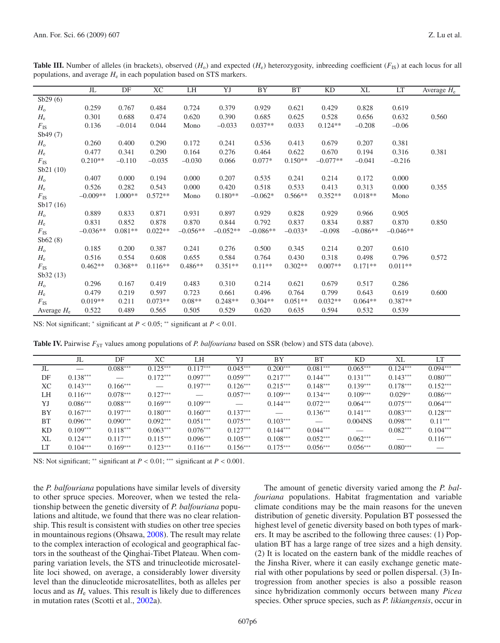|              | JL         | DF        | <b>XC</b> | LH         | YJ         | BY         | <b>BT</b> | KD         | XL         | LT         | Average $H_e$ |
|--------------|------------|-----------|-----------|------------|------------|------------|-----------|------------|------------|------------|---------------|
| Sb29(6)      |            |           |           |            |            |            |           |            |            |            |               |
| $H_{o}$      | 0.259      | 0.767     | 0.484     | 0.724      | 0.379      | 0.929      | 0.621     | 0.429      | 0.828      | 0.619      |               |
| $H_{\rm e}$  | 0.301      | 0.688     | 0.474     | 0.620      | 0.390      | 0.685      | 0.625     | 0.528      | 0.656      | 0.632      | 0.560         |
| $F_{\rm IS}$ | 0.136      | $-0.014$  | 0.044     | Mono       | $-0.033$   | $0.037**$  | 0.033     | $0.124**$  | $-0.208$   | $-0.06$    |               |
| Sb49 (7)     |            |           |           |            |            |            |           |            |            |            |               |
| $H_{o}$      | 0.260      | 0.400     | 0.290     | 0.172      | 0.241      | 0.536      | 0.413     | 0.679      | 0.207      | 0.381      |               |
| $H_{\rm e}$  | 0.477      | 0.341     | 0.290     | 0.164      | 0.276      | 0.464      | 0.622     | 0.670      | 0.194      | 0.316      | 0.381         |
| $F_{\rm IS}$ | $0.210**$  | $-0.110$  | $-0.035$  | $-0.030$   | 0.066      | $0.077*$   | $0.150**$ | $-0.077**$ | $-0.041$   | $-0.216$   |               |
| Sb21 (10)    |            |           |           |            |            |            |           |            |            |            |               |
| $H_{o}$      | 0.407      | 0.000     | 0.194     | 0.000      | 0.207      | 0.535      | 0.241     | 0.214      | 0.172      | 0.000      |               |
| $H_{\rm e}$  | 0.526      | 0.282     | 0.543     | 0.000      | 0.420      | 0.518      | 0.533     | 0.413      | 0.313      | 0.000      | 0.355         |
| $F_{\rm IS}$ | $-0.009**$ | $1.000**$ | $0.572**$ | Mono       | $0.180**$  | $-0.062*$  | $0.566**$ | $0.352**$  | $0.018**$  | Mono       |               |
| Sb17(16)     |            |           |           |            |            |            |           |            |            |            |               |
| $H_{o}$      | 0.889      | 0.833     | 0.871     | 0.931      | 0.897      | 0.929      | 0.828     | 0.929      | 0.966      | 0.905      |               |
| $H_{\rm e}$  | 0.831      | 0.852     | 0.878     | 0.870      | 0.844      | 0.792      | 0.837     | 0.834      | 0.887      | 0.870      | 0.850         |
| $F_{\rm IS}$ | $-0.036**$ | $0.081**$ | $0.022**$ | $-0.056**$ | $-0.052**$ | $-0.086**$ | $-0.033*$ | $-0.098$   | $-0.086**$ | $-0.046**$ |               |
| Sb62(8)      |            |           |           |            |            |            |           |            |            |            |               |
| $H_{o}$      | 0.185      | 0.200     | 0.387     | 0.241      | 0.276      | 0.500      | 0.345     | 0.214      | 0.207      | 0.610      |               |
| $H_{\rm e}$  | 0.516      | 0.554     | 0.608     | 0.655      | 0.584      | 0.764      | 0.430     | 0.318      | 0.498      | 0.796      | 0.572         |
| $F_{\rm IS}$ | $0.462**$  | $0.368**$ | $0.116**$ | $0.486**$  | $0.351**$  | $0.11**$   | $0.302**$ | $0.007**$  | $0.171**$  | $0.011**$  |               |
| Sb32(13)     |            |           |           |            |            |            |           |            |            |            |               |
| $H_{o}$      | 0.296      | 0.167     | 0.419     | 0.483      | 0.310      | 0.214      | 0.621     | 0.679      | 0.517      | 0.286      |               |

<span id="page-5-0"></span>**Table III.** Number of alleles (in brackets), observed  $(H_0)$  and expected  $(H_e)$  heterozygosity, inbreeding coefficient  $(F_{IS})$  at each locus for all populations, and average *H*<sup>e</sup> in each population based on STS markers.

NS: Not significant; <sup>∗</sup> significant at *P* < 0.05; ∗∗ significant at *P* < 0.01.

**Table IV.** Pairwise  $F_{ST}$  values among populations of *P. balfouriana* based on SSR (below) and STS data (above).

|    | JL         | DF         | XС                       | LH                       | YJ         | BY                | ВT         | KD.        | XL         | LT         |
|----|------------|------------|--------------------------|--------------------------|------------|-------------------|------------|------------|------------|------------|
| JL |            | $0.088***$ | $0.125***$               | $0.117***$               | $0.045***$ | $0.200***$        | $0.081***$ | $0.065***$ | $0.124***$ | $0.094***$ |
| DF | $0.138***$ |            | $0.172***$               | $0.097***$               | $0.059***$ | $0.217***$        | $0.144***$ | $0.131***$ | $0.143***$ | $0.080***$ |
| XС | $0.143***$ | $0.166***$ | $\overline{\phantom{m}}$ | $0.197***$               | $0.126***$ | $0.215***$        | $0.148***$ | $0.139***$ | $0.178***$ | $0.152***$ |
| LH | $0.116***$ | $0.078***$ | $0.127***$               | $\overline{\phantom{m}}$ | $0.057***$ | $0.109***$        | $0.134***$ | $0.109***$ | $0.029**$  | $0.086***$ |
| YJ | $0.086***$ | $0.088***$ | $0.169***$               | $0.109***$               |            | $0.144***$        | $0.072***$ | $0.064***$ | $0.075***$ | $0.064***$ |
| BY | $0.167***$ | $0.197***$ | $0.180***$               | $0.160***$               | $0.137***$ | $\hspace{0.05cm}$ | $0.136***$ | $0.141***$ | $0.083***$ | $0.128***$ |
| BT | $0.096***$ | $0.090***$ | $0.092***$               | $0.051***$               | $0.075***$ | $0.103***$        |            | $0.004N$ S | $0.098***$ | $0.11***$  |
| KD | $0.109***$ | $0.118***$ | $0.063***$               | $0.076***$               | $0.127***$ | $0.144***$        | $0.044***$ |            | $0.082***$ | $0.104***$ |
| XL | $0.124***$ | $0.117***$ | $0.115***$               | $0.096***$               | $0.105***$ | $0.108***$        | $0.052***$ | $0.062***$ |            | $0.116***$ |
| LT | $0.104***$ | $0.169***$ | $0.123***$               | $0.116***$               | $0.156***$ | $0.175***$        | $0.056***$ | $0.056***$ | $0.080***$ |            |

<span id="page-5-1"></span>*H*<sup>e</sup> 0.479 0.219 0.597 0.723 0.661 0.496 0.764 0.799 0.643 0.619 0.600

*F*IS 0.019\*\* 0.211 0.073\*\* 0.08\*\* 0.248\*\* 0.304\*\* 0.051\*\* 0.032\*\* 0.064\*\* 0.387\*\* Average *H*<sup>e</sup> 0.522 0.489 0.565 0.505 0.529 0.620 0.635 0.594 0.532 0.539

NS: Not significant; ∗∗ significant at *P* < 0.01; ∗∗∗ significant at *P* < 0.001.

the *P. balfouriana* populations have similar levels of diversity to other spruce species. Moreover, when we tested the relationship between the genetic diversity of *P. balfouriana* populations and altitude, we found that there was no clear relationship. This result is consistent with studies on other tree species in mountainous regions (Ohsawa, [2008\)](#page-8-33). The result may relate to the complex interaction of ecological and geographical factors in the southeast of the Qinghai-Tibet Plateau. When comparing variation levels, the STS and trinucleotide microsatellite loci showed, on average, a considerably lower diversity level than the dinucleotide microsatellites, both as alleles per locus and as  $H_e$  values. This result is likely due to differences in mutation rates (Scotti et al., [2002a](#page-9-4)).

The amount of genetic diversity varied among the *P. balfouriana* populations. Habitat fragmentation and variable climate conditions may be the main reasons for the uneven distribution of genetic diversity. Population BT possessed the highest level of genetic diversity based on both types of markers. It may be ascribed to the following three causes: (1) Population BT has a large range of tree sizes and a high density. (2) It is located on the eastern bank of the middle reaches of the Jinsha River, where it can easily exchange genetic material with other populations by seed or pollen dispersal. (3) Introgression from another species is also a possible reason since hybridization commonly occurs between many *Picea* species. Other spruce species, such as *P. likiangensis*, occur in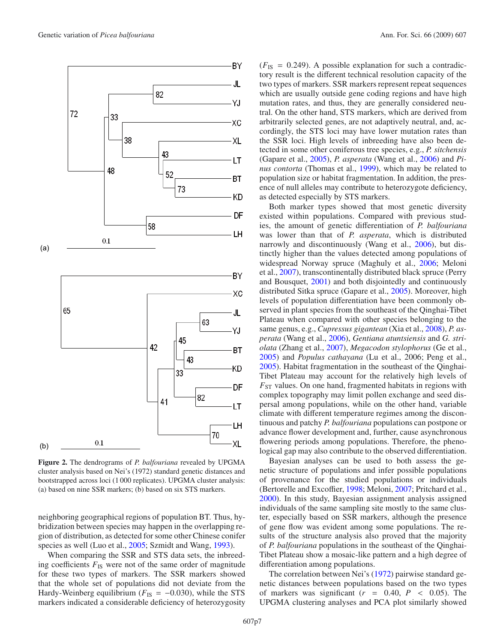

<span id="page-6-0"></span>**Figure 2.** The dendrograms of *P. balfouriana* revealed by UPGMA cluster analysis based on Nei's (1972) standard genetic distances and bootstrapped across loci (1 000 replicates). UPGMA cluster analysis: (a) based on nine SSR markers; (b) based on six STS markers.

neighboring geographical regions of population BT. Thus, hybridization between species may happen in the overlapping region of distribution, as detected for some other Chinese conifer species as well (Luo et al., [2005](#page-8-34); Szmidt and Wang, [1993](#page-9-10)).

When comparing the SSR and STS data sets, the inbreeding coefficients  $F_{\text{IS}}$  were not of the same order of magnitude for these two types of markers. The SSR markers showed that the whole set of populations did not deviate from the Hardy-Weinberg equilibrium ( $F_{IS} = -0.030$ ), while the STS markers indicated a considerable deficiency of heterozygosity

 $(F_{\text{IS}} = 0.249)$ . A possible explanation for such a contradictory result is the different technical resolution capacity of the two types of markers. SSR markers represent repeat sequences which are usually outside gene coding regions and have high mutation rates, and thus, they are generally considered neutral. On the other hand, STS markers, which are derived from arbitrarily selected genes, are not adaptively neutral, and, accordingly, the STS loci may have lower mutation rates than the SSR loci. High levels of inbreeding have also been detected in some other coniferous tree species, e.g., *P. sitchensis* (Gapare et al., [2005](#page-8-32)), *P. asperata* (Wang et al., [2006\)](#page-9-8) and *Pinus contorta* (Thomas et al., [1999\)](#page-9-11), which may be related to population size or habitat fragmentation. In addition, the presence of null alleles may contribute to heterozygote deficiency, as detected especially by STS markers.

Both marker types showed that most genetic diversity existed within populations. Compared with previous studies, the amount of genetic differentiation of *P. balfouriana* was lower than that of *P. asperata*, which is distributed narrowly and discontinuously (Wang et al., [2006\)](#page-9-8), but distinctly higher than the values detected among populations of widespread Norway spruce (Maghuly et al., [2006;](#page-8-35) Meloni et al., [2007\)](#page-8-31), transcontinentally distributed black spruce (Perry and Bousquet, [2001\)](#page-8-36) and both disjointedly and continuously distributed Sitka spruce (Gapare et al., [2005\)](#page-8-32). Moreover, high levels of population differentiation have been commonly observed in plant species from the southeast of the Qinghai-Tibet Plateau when compared with other species belonging to the same genus, e.g., *Cupressus gigantean* (Xia et al., [2008\)](#page-9-12), *P. asperata* (Wang et al., [2006\)](#page-9-8), *Gentiana atuntsiensis* and *G. striolata* (Zhang et al., [2007\)](#page-9-13), *Megacodon stylophorus* (Ge et al., [2005\)](#page-8-37) and *Populus cathayana* (Lu et al., 2006; Peng et al., [2005\)](#page-8-38). Habitat fragmentation in the southeast of the Qinghai-Tibet Plateau may account for the relatively high levels of  $F_{ST}$  values. On one hand, fragmented habitats in regions with complex topography may limit pollen exchange and seed dispersal among populations, while on the other hand, variable climate with different temperature regimes among the discontinuous and patchy *P. balfouriana* populations can postpone or advance flower development and, further, cause asynchronous flowering periods among populations. Therefore, the phenological gap may also contribute to the observed differentiation.

Bayesian analyses can be used to both assess the genetic structure of populations and infer possible populations of provenance for the studied populations or individuals (Bertorelle and Excoffier, [1998;](#page-7-2) Meloni, [2007](#page-8-31); Pritchard et al., [2000\)](#page-8-28). In this study, Bayesian assignment analysis assigned individuals of the same sampling site mostly to the same cluster, especially based on SSR markers, although the presence of gene flow was evident among some populations. The results of the structure analysis also proved that the majority of *P. balfouriana* populations in the southeast of the Qinghai-Tibet Plateau show a mosaic-like pattern and a high degree of differentiation among populations.

The correlation between Nei's [\(1972\)](#page-8-23) pairwise standard genetic distances between populations based on the two types of markers was significant  $(r = 0.40, P < 0.05)$ . The UPGMA clustering analyses and PCA plot similarly showed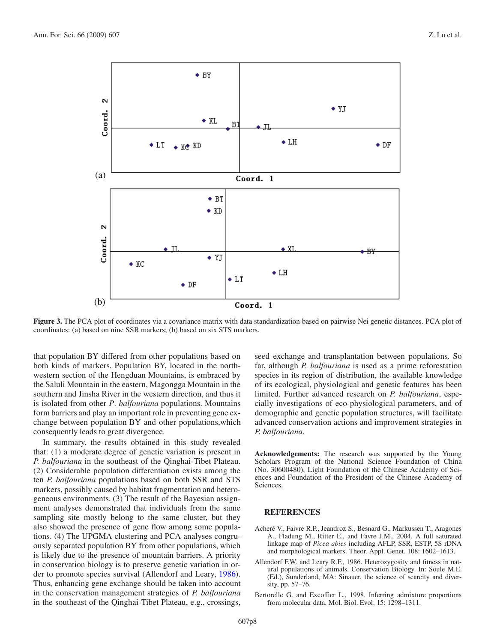

<span id="page-7-1"></span>**Figure 3.** The PCA plot of coordinates via a covariance matrix with data standardization based on pairwise Nei genetic distances. PCA plot of coordinates: (a) based on nine SSR markers; (b) based on six STS markers.

that population BY differed from other populations based on both kinds of markers. Population BY, located in the northwestern section of the Hengduan Mountains, is embraced by the Saluli Mountain in the eastern, Magongga Mountain in the southern and Jinsha River in the western direction, and thus it is isolated from other *P*. *balfouriana* populations. Mountains form barriers and play an important role in preventing gene exchange between population BY and other populations,which consequently leads to great divergence.

In summary, the results obtained in this study revealed that: (1) a moderate degree of genetic variation is present in *P. balfouriana* in the southeast of the Qinghai-Tibet Plateau. (2) Considerable population differentiation exists among the ten *P. balfouriana* populations based on both SSR and STS markers, possibly caused by habitat fragmentation and heterogeneous environments. (3) The result of the Bayesian assignment analyses demonstrated that individuals from the same sampling site mostly belong to the same cluster, but they also showed the presence of gene flow among some populations. (4) The UPGMA clustering and PCA analyses congruously separated population BY from other populations, which is likely due to the presence of mountain barriers. A priority in conservation biology is to preserve genetic variation in order to promote species survival (Allendorf and Leary, [1986\)](#page-7-3). Thus, enhancing gene exchange should be taken into account in the conservation management strategies of *P. balfouriana* in the southeast of the Qinghai-Tibet Plateau, e.g., crossings,

seed exchange and transplantation between populations. So far, although *P. balfouriana* is used as a prime reforestation species in its region of distribution, the available knowledge of its ecological, physiological and genetic features has been limited. Further advanced research on *P. balfouriana*, especially investigations of eco-physiological parameters, and of demographic and genetic population structures, will facilitate advanced conservation actions and improvement strategies in *P. balfouriana*.

**Acknowledgements:** The research was supported by the Young Scholars Program of the National Science Foundation of China (No. 30600480), Light Foundation of the Chinese Academy of Sciences and Foundation of the President of the Chinese Academy of Sciences.

## **REFERENCES**

- <span id="page-7-0"></span>Acheré V., Faivre R.P., Jeandroz S., Besnard G., Markussen T., Aragones A., Fladung M., Ritter E., and Favre J.M., 2004. A full saturated linkage map of *Picea abies* including AFLP, SSR, ESTP, 5S rDNA and morphological markers. Theor. Appl. Genet. 108: 1602–1613.
- <span id="page-7-3"></span>Allendorf F.W. and Leary R.F., 1986. Heterozygosity and fitness in natural populations of animals. Conservation Biology. In: Soule M.E. (Ed.), Sunderland, MA: Sinauer, the science of scarcity and diversity, pp. 57–76.
- <span id="page-7-2"></span>Bertorelle G. and Excoffier L., 1998. Inferring admixture proportions from molecular data. Mol. Biol. Evol. 15: 1298–1311.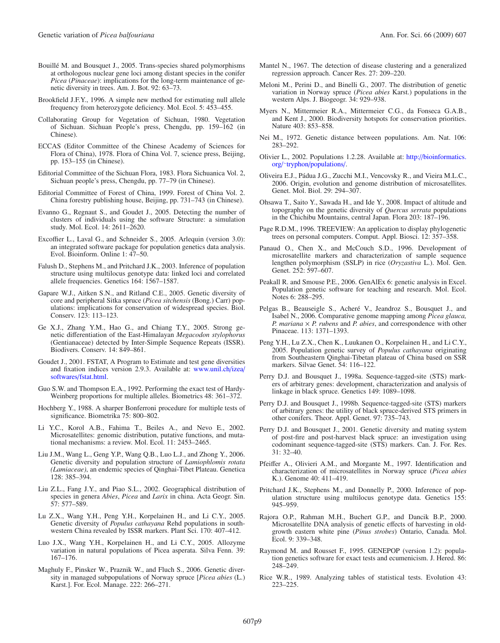- <span id="page-8-10"></span>Bouillé M. and Bousquet J., 2005. Trans-species shared polymorphisms at orthologous nuclear gene loci among distant species in the conifer *Picea* (*Pinaceae*): implications for the long-term maintenance of genetic diversity in trees. Am. J. Bot. 92: 63–73.
- <span id="page-8-19"></span>Brookfield J.F.Y., 1996. A simple new method for estimating null allele frequency from heterozygote deficiency. Mol. Ecol. 5: 453–455.
- <span id="page-8-2"></span>Collaborating Group for Vegetation of Sichuan, 1980. Vegetation of Sichuan. Sichuan People's press, Chengdu, pp. 159–162 (in Chinese).
- <span id="page-8-3"></span>ECCAS (Editor Committee of the Chinese Academy of Sciences for Flora of China), 1978. Flora of China Vol. 7, science press, Beijing, pp. 153–155 (in Chinese).
- <span id="page-8-4"></span>Editorial Committee of the Sichuan Flora, 1983. Flora Sichuanica Vol. 2, Sichuan people's press, Chengdu, pp. 77–79 (in Chinese).
- <span id="page-8-6"></span>Editorial Committee of Forest of China, 1999. Forest of China Vol. 2. China forestry publishing house, Beijing, pp. 731–743 (in Chinese).
- <span id="page-8-30"></span>Evanno G., Regnaut S., and Goudet J., 2005. Detecting the number of clusters of individuals using the software Structure: a simulation study. Mol. Ecol. 14: 2611–2620.
- <span id="page-8-15"></span>Excoffier L., Laval G., and Schneider S., 2005. Arlequin (version 3.0): an integrated software package for population genetics data analysis. Evol. Bioinform. Online 1: 47–50.
- <span id="page-8-27"></span>Falush D., Stephens M., and Pritchard J.K., 2003. Inference of population structure using multilocus genotype data: linked loci and correlated allele frequencies. Genetics 164: 1567–1587.
- <span id="page-8-32"></span>Gapare W.J., Aitken S.N., and Ritland C.E., 2005. Genetic diversity of core and peripheral Sitka spruce (*Picea sitchensis* (Bong.) Carr) populations: implications for conservation of widespread species. Biol. Conserv. 123: 113–123.
- <span id="page-8-37"></span>Ge X.J., Zhang Y.M., Hao G., and Chiang T.Y., 2005. Strong genetic differentiation of the East-Himalayan *Megacodon stylophorus* (Gentianaceae) detected by Inter-Simple Sequence Repeats (ISSR). Biodivers. Conserv. 14: 849–861.
- <span id="page-8-20"></span>Goudet J., 2001. FSTAT, A Program to Estimate and test gene diversities and fixation indices version 2.9.3. Available at: [www.unil.ch](www.unil.ch/izea/softwares/fstat.html)/izea/ softwares/[fstat.html.](www.unil.ch/izea/softwares/fstat.html)
- <span id="page-8-17"></span>Guo S.W. and Thompson E.A., 1992. Performing the exact test of Hardy-Weinberg proportions for multiple alleles. Biometrics 48: 361–372.
- <span id="page-8-18"></span>Hochberg Y., 1988. A sharper Bonferroni procedure for multiple tests of significance. Biometrika 75: 800–802.
- <span id="page-8-8"></span>Li Y.C., Korol A.B., Fahima T., Beiles A., and Nevo E., 2002. Microsatellites: genomic distribution, putative functions, and mutational mechanisms: a review. Mol. Ecol. 11: 2453–2465.
- <span id="page-8-0"></span>Liu J.M., Wang L., Geng Y.P., Wang Q.B., Luo L.J., and Zhong Y., 2006. Genetic diversity and population structure of *Lamiophlomis rotata (Lamiaceae)*, an endemic species of Qinghai-Tibet Plateau. Genetica 128: 385–394.
- <span id="page-8-5"></span>Liu Z.L., Fang J.Y., and Piao S.L., 2002. Geographical distribution of species in genera *Abies*, *Picea* and *Larix* in china. Acta Geogr. Sin. 57: 577–589.
- Lu Z.X., Wang Y.H., Peng Y.H., Korpelainen H., and Li C.Y., 2005. Genetic diversity of *Populus cathayana* Rehd populations in southwestern China revealed by ISSR markers. Plant Sci. 170: 407–412.
- <span id="page-8-34"></span>Luo J.X., Wang Y.H., Korpelainen H., and Li C.Y., 2005. Allozyme variation in natural populations of Picea asperata. Silva Fenn. 39: 167–176.
- <span id="page-8-35"></span>Maghuly F., Pinsker W., Praznik W., and Fluch S., 2006. Genetic diversity in managed subpopulations of Norway spruce [*Picea abies* (L.) Karst.]. For. Ecol. Manage. 222: 266–271.
- <span id="page-8-26"></span>Mantel N., 1967. The detection of disease clustering and a generalized regression approach. Cancer Res. 27: 209–220.
- <span id="page-8-31"></span>Meloni M., Perini D., and Binelli G., 2007. The distribution of genetic variation in Norway spruce (*Picea abies* Karst.) populations in the western Alps. J. Biogeogr. 34: 929–938.
- <span id="page-8-1"></span>Myers N., Mittermeier R.A., Mittermeier C.G., da Fonseca G.A.B., and Kent J., 2000. Biodiversity hotspots for conservation priorities. Nature 403: 853–858.
- <span id="page-8-23"></span>Nei M., 1972. Genetic distance between populations. Am. Nat. 106: 283–292.
- <span id="page-8-24"></span>Olivier L., 2002. Populations 1.2.28. Available at: http://[bioinformatics.](http://bioinformatics.org/~tryphon/populations/) org/ <sup>∼</sup>tryphon/[populations](http://bioinformatics.org/~tryphon/populations/)/.
- <span id="page-8-7"></span>Oliveira E.J., Pádua J.G., Zucchi M.I., Vencovsky R., and Vieira M.L.C., 2006. Origin, evolution and genome distribution of microsatellites. Genet. Mol. Biol. 29: 294–307.
- <span id="page-8-33"></span>Ohsawa T., Saito Y., Sawada H., and Ide Y., 2008. Impact of altitude and topography on the genetic diversity of *Quercus serrata* populations in the Chichibu Mountains, central Japan. Flora 203: 187–196.
- <span id="page-8-25"></span>Page R.D.M., 1996. TREEVIEW: An application to display phylogenetic trees on personal computers. Comput. Appl. Biosci. 12: 357–358.
- <span id="page-8-12"></span>Panaud O., Chen X., and McCouch S.D., 1996. Development of microsatellite markers and characterization of sample sequence lengthen polymorphism (SSLP) in rice (*Oryzastiva* L.). Mol. Gen. Genet. 252: 597-607.
- <span id="page-8-22"></span>Peakall R. and Smouse P.E., 2006. GenAlEx 6: genetic analysis in Excel. Population genetic software for teaching and research. Mol. Ecol. Notes 6: 288–295.
- <span id="page-8-29"></span>Pelgas B., Beauseigle S., Acheré V., Jeandroz S., Bousquet J., and Isabel N., 2006. Comparative genome mapping among *Picea glauca, P. mariana* × *P. rubens* and *P. abies*, and correspondence with other Pinaceae. 113: 1371–1393.
- <span id="page-8-38"></span>Peng Y.H., Lu Z.X., Chen K., Luukanen O., Korpelainen H., and Li C.Y., 2005. Population genetic survey of *Populus cathayana* originating from Southeastern Qinghai-Tibetan plateau of China based on SSR markers. Silvae Genet. 54: 116–122.
- <span id="page-8-13"></span>Perry D.J. and Bousquet J., 1998a. Sequence-tagged-site (STS) markers of arbitrary genes: development, characterization and analysis of linkage in black spruce. Genetics 149: 1089–1098.
- <span id="page-8-14"></span>Perry D.J. and Bousquet J., 1998b. Sequence-tagged-site (STS) markers of arbitrary genes: the utility of black spruce-derived STS primers in other conifers. Theor. Appl. Genet. 97: 735–743.
- <span id="page-8-36"></span>Perry D.J. and Bousquet J., 2001. Genetic diversity and mating system of post-fire and post-harvest black spruce: an investigation using codominant sequence-tagged-site (STS) markers. Can. J. For. Res. 31: 32–40.
- <span id="page-8-11"></span>Pfeiffer A., Olivieri A.M., and Morgante M., 1997. Identification and characterization of microsatellites in Norway spruce (*Picea abies* K.). Genome 40: 411–419.
- <span id="page-8-28"></span>Pritchard J.K., Stephens M., and Donnelly P., 2000. Inference of population structure using multilocus genotype data. Genetics 155: 945–959.
- <span id="page-8-9"></span>Rajora O.P., Rahman M.H., Buchert G.P., and Dancik B.P., 2000. Microsatellite DNA analysis of genetic effects of harvesting in oldgrowth eastern white pine (*Pinus strobes*) Ontario, Canada. Mol. Ecol. 9: 339–348.
- <span id="page-8-16"></span>Raymond M. and Rousset F., 1995. GENEPOP (version 1.2): population genetics software for exact tests and ecumenicism. J. Hered. 86: 248–249.
- <span id="page-8-21"></span>Rice W.R., 1989. Analyzing tables of statistical tests. Evolution 43: 223–225.